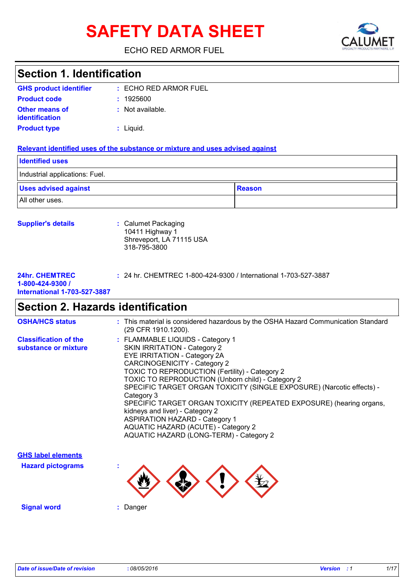# **SAFETY DATA SHEET**



#### ECHO RED ARMOR FUEL

#### ECHO RED ARMOR FUEL **: :** Not available. Liquid. **: GHS product identifier Other means of identification Product type Section 1. Identification Supplier's details :** Calumet Packaging **Relevant identified uses of the substance or mixture and uses advised against Identified uses** All other uses. **Uses advised against Reason** Industrial applications: Fuel. **Product code :** 1925600

| . . |  |  |
|-----|--|--|
|     |  |  |
|     |  |  |
|     |  |  |
|     |  |  |
|     |  |  |
|     |  |  |

10411 Highway 1 Shreveport, LA 71115 USA 318-795-3800

| <b>24hr. CHEMTREC</b>               | : 24 hr. CHEMTREC 1-800-424-9300 / International 1-703-527-3887 |
|-------------------------------------|-----------------------------------------------------------------|
| 1-800-424-9300 /                    |                                                                 |
| <b>International 1-703-527-3887</b> |                                                                 |

### **Section 2. Hazards identification**

| <b>OSHA/HCS status</b>                                | : This material is considered hazardous by the OSHA Hazard Communication Standard<br>(29 CFR 1910.1200).                                                                                                                                                                                                                                                                                                                                                                                                                                                                   |
|-------------------------------------------------------|----------------------------------------------------------------------------------------------------------------------------------------------------------------------------------------------------------------------------------------------------------------------------------------------------------------------------------------------------------------------------------------------------------------------------------------------------------------------------------------------------------------------------------------------------------------------------|
| <b>Classification of the</b><br>substance or mixture  | : FLAMMABLE LIQUIDS - Category 1<br><b>SKIN IRRITATION - Category 2</b><br>EYE IRRITATION - Category 2A<br>CARCINOGENICITY - Category 2<br>TOXIC TO REPRODUCTION (Fertility) - Category 2<br>TOXIC TO REPRODUCTION (Unborn child) - Category 2<br>SPECIFIC TARGET ORGAN TOXICITY (SINGLE EXPOSURE) (Narcotic effects) -<br>Category 3<br>SPECIFIC TARGET ORGAN TOXICITY (REPEATED EXPOSURE) (hearing organs,<br>kidneys and liver) - Category 2<br><b>ASPIRATION HAZARD - Category 1</b><br>AQUATIC HAZARD (ACUTE) - Category 2<br>AQUATIC HAZARD (LONG-TERM) - Category 2 |
| <b>GHS label elements</b><br><b>Hazard pictograms</b> |                                                                                                                                                                                                                                                                                                                                                                                                                                                                                                                                                                            |
|                                                       |                                                                                                                                                                                                                                                                                                                                                                                                                                                                                                                                                                            |

**Signal word :** Danger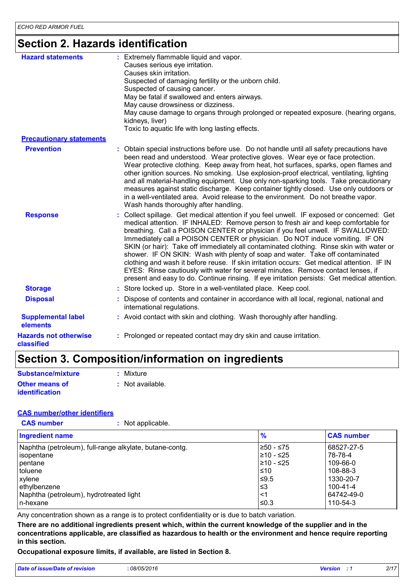### **Section 2. Hazards identification**

| <b>Hazard statements</b>                   | : Extremely flammable liquid and vapor.<br>Causes serious eye irritation.<br>Causes skin irritation.<br>Suspected of damaging fertility or the unborn child.<br>Suspected of causing cancer.<br>May be fatal if swallowed and enters airways.<br>May cause drowsiness or dizziness.<br>May cause damage to organs through prolonged or repeated exposure. (hearing organs,<br>kidneys, liver)<br>Toxic to aquatic life with long lasting effects.                                                                                                                                                                                                                                                                                                                                                                 |
|--------------------------------------------|-------------------------------------------------------------------------------------------------------------------------------------------------------------------------------------------------------------------------------------------------------------------------------------------------------------------------------------------------------------------------------------------------------------------------------------------------------------------------------------------------------------------------------------------------------------------------------------------------------------------------------------------------------------------------------------------------------------------------------------------------------------------------------------------------------------------|
| <b>Precautionary statements</b>            |                                                                                                                                                                                                                                                                                                                                                                                                                                                                                                                                                                                                                                                                                                                                                                                                                   |
| <b>Prevention</b>                          | : Obtain special instructions before use. Do not handle until all safety precautions have<br>been read and understood. Wear protective gloves. Wear eye or face protection.<br>Wear protective clothing. Keep away from heat, hot surfaces, sparks, open flames and<br>other ignition sources. No smoking. Use explosion-proof electrical, ventilating, lighting<br>and all material-handling equipment. Use only non-sparking tools. Take precautionary<br>measures against static discharge. Keep container tightly closed. Use only outdoors or<br>in a well-ventilated area. Avoid release to the environment. Do not breathe vapor.<br>Wash hands thoroughly after handling.                                                                                                                                 |
| <b>Response</b>                            | : Collect spillage. Get medical attention if you feel unwell. IF exposed or concerned: Get<br>medical attention. IF INHALED: Remove person to fresh air and keep comfortable for<br>breathing. Call a POISON CENTER or physician if you feel unwell. IF SWALLOWED:<br>Immediately call a POISON CENTER or physician. Do NOT induce vomiting. IF ON<br>SKIN (or hair): Take off immediately all contaminated clothing. Rinse skin with water or<br>shower. IF ON SKIN: Wash with plenty of soap and water. Take off contaminated<br>clothing and wash it before reuse. If skin irritation occurs: Get medical attention. IF IN<br>EYES: Rinse cautiously with water for several minutes. Remove contact lenses, if<br>present and easy to do. Continue rinsing. If eye irritation persists: Get medical attention. |
| <b>Storage</b>                             | : Store locked up. Store in a well-ventilated place. Keep cool.                                                                                                                                                                                                                                                                                                                                                                                                                                                                                                                                                                                                                                                                                                                                                   |
| <b>Disposal</b>                            | : Dispose of contents and container in accordance with all local, regional, national and<br>international regulations.                                                                                                                                                                                                                                                                                                                                                                                                                                                                                                                                                                                                                                                                                            |
| <b>Supplemental label</b><br>elements      | : Avoid contact with skin and clothing. Wash thoroughly after handling.                                                                                                                                                                                                                                                                                                                                                                                                                                                                                                                                                                                                                                                                                                                                           |
| <b>Hazards not otherwise</b><br>classified | : Prolonged or repeated contact may dry skin and cause irritation.                                                                                                                                                                                                                                                                                                                                                                                                                                                                                                                                                                                                                                                                                                                                                |

### **Section 3. Composition/information on ingredients**

| Substance/mixture     | : Mixture          |
|-----------------------|--------------------|
| <b>Other means of</b> | $:$ Not available. |
| <i>identification</i> |                    |

#### **CAS number/other identifiers**

| <b>CAS number</b><br>: Not applicable.                  |               |                   |
|---------------------------------------------------------|---------------|-------------------|
| <b>Ingredient name</b>                                  | $\frac{9}{6}$ | <b>CAS number</b> |
| Naphtha (petroleum), full-range alkylate, butane-contg. | l≥50 - ≤75    | 68527-27-5        |
| isopentane                                              | 210 - ≤25     | 78-78-4           |
| pentane                                                 | l≥10 - ≤25    | 109-66-0          |
| toluene                                                 | ≤10           | 108-88-3          |
| xylene                                                  | ≤9.5          | 1330-20-7         |
| ethylbenzene                                            | ≤3            | 100-41-4          |
| Naphtha (petroleum), hydrotreated light                 | <1            | 64742-49-0        |
| In-hexane                                               | ≤0.3          | 110-54-3          |

Any concentration shown as a range is to protect confidentiality or is due to batch variation.

**There are no additional ingredients present which, within the current knowledge of the supplier and in the concentrations applicable, are classified as hazardous to health or the environment and hence require reporting in this section.**

**Occupational exposure limits, if available, are listed in Section 8.**

| Date of issue/Date of revision | 08/05/2016 | <b>Version</b> |  | 2/17 |
|--------------------------------|------------|----------------|--|------|
|--------------------------------|------------|----------------|--|------|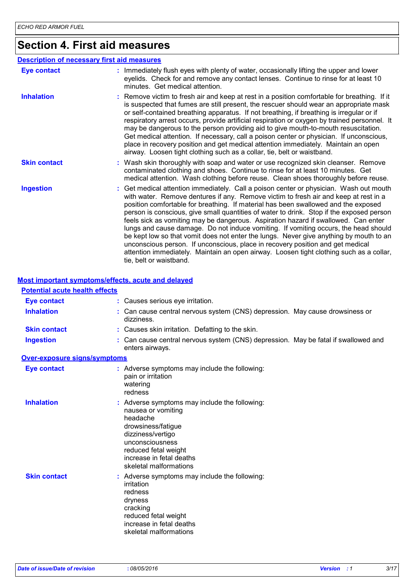### **Section 4. First aid measures**

#### **Description of necessary first aid measures**

| <b>Eye contact</b>  | : Immediately flush eyes with plenty of water, occasionally lifting the upper and lower<br>eyelids. Check for and remove any contact lenses. Continue to rinse for at least 10<br>minutes. Get medical attention.                                                                                                                                                                                                                                                                                                                                                                                                                                                                                                                                                                                                                               |
|---------------------|-------------------------------------------------------------------------------------------------------------------------------------------------------------------------------------------------------------------------------------------------------------------------------------------------------------------------------------------------------------------------------------------------------------------------------------------------------------------------------------------------------------------------------------------------------------------------------------------------------------------------------------------------------------------------------------------------------------------------------------------------------------------------------------------------------------------------------------------------|
| <b>Inhalation</b>   | : Remove victim to fresh air and keep at rest in a position comfortable for breathing. If it<br>is suspected that fumes are still present, the rescuer should wear an appropriate mask<br>or self-contained breathing apparatus. If not breathing, if breathing is irregular or if<br>respiratory arrest occurs, provide artificial respiration or oxygen by trained personnel. It<br>may be dangerous to the person providing aid to give mouth-to-mouth resuscitation.<br>Get medical attention. If necessary, call a poison center or physician. If unconscious,<br>place in recovery position and get medical attention immediately. Maintain an open<br>airway. Loosen tight clothing such as a collar, tie, belt or waistband.                                                                                                            |
| <b>Skin contact</b> | : Wash skin thoroughly with soap and water or use recognized skin cleanser. Remove<br>contaminated clothing and shoes. Continue to rinse for at least 10 minutes. Get<br>medical attention. Wash clothing before reuse. Clean shoes thoroughly before reuse.                                                                                                                                                                                                                                                                                                                                                                                                                                                                                                                                                                                    |
| <b>Ingestion</b>    | : Get medical attention immediately. Call a poison center or physician. Wash out mouth<br>with water. Remove dentures if any. Remove victim to fresh air and keep at rest in a<br>position comfortable for breathing. If material has been swallowed and the exposed<br>person is conscious, give small quantities of water to drink. Stop if the exposed person<br>feels sick as vomiting may be dangerous. Aspiration hazard if swallowed. Can enter<br>lungs and cause damage. Do not induce vomiting. If vomiting occurs, the head should<br>be kept low so that vomit does not enter the lungs. Never give anything by mouth to an<br>unconscious person. If unconscious, place in recovery position and get medical<br>attention immediately. Maintain an open airway. Loosen tight clothing such as a collar,<br>tie, belt or waistband. |

#### **Most important symptoms/effects, acute and delayed**

| <b>Potential acute health effects</b> |                                                                                                                                                                                                                             |
|---------------------------------------|-----------------------------------------------------------------------------------------------------------------------------------------------------------------------------------------------------------------------------|
| Eye contact                           | : Causes serious eye irritation.                                                                                                                                                                                            |
| <b>Inhalation</b>                     | : Can cause central nervous system (CNS) depression. May cause drowsiness or<br>dizziness.                                                                                                                                  |
| <b>Skin contact</b>                   | : Causes skin irritation. Defatting to the skin.                                                                                                                                                                            |
| <b>Ingestion</b>                      | : Can cause central nervous system (CNS) depression. May be fatal if swallowed and<br>enters airways.                                                                                                                       |
| Over-exposure signs/symptoms          |                                                                                                                                                                                                                             |
| <b>Eye contact</b>                    | : Adverse symptoms may include the following:<br>pain or irritation<br>watering<br>redness                                                                                                                                  |
| <b>Inhalation</b>                     | : Adverse symptoms may include the following:<br>nausea or vomiting<br>headache<br>drowsiness/fatigue<br>dizziness/vertigo<br>unconsciousness<br>reduced fetal weight<br>increase in fetal deaths<br>skeletal malformations |
| <b>Skin contact</b>                   | : Adverse symptoms may include the following:<br>irritation<br>redness<br>dryness<br>cracking<br>reduced fetal weight<br>increase in fetal deaths<br>skeletal malformations                                                 |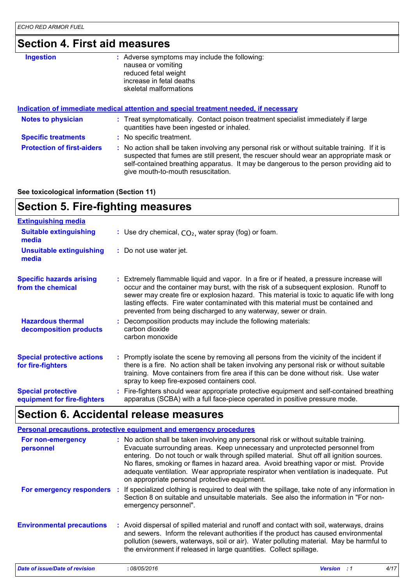### **Section 4. First aid measures**

| <b>Ingestion</b>                  | : Adverse symptoms may include the following:<br>nausea or vomiting<br>reduced fetal weight<br>increase in fetal deaths<br>skeletal malformations                                                                                                                                                                       |
|-----------------------------------|-------------------------------------------------------------------------------------------------------------------------------------------------------------------------------------------------------------------------------------------------------------------------------------------------------------------------|
|                                   | Indication of immediate medical attention and special treatment needed, if necessary                                                                                                                                                                                                                                    |
| <b>Notes to physician</b>         | : Treat symptomatically. Contact poison treatment specialist immediately if large<br>quantities have been ingested or inhaled.                                                                                                                                                                                          |
| <b>Specific treatments</b>        | : No specific treatment.                                                                                                                                                                                                                                                                                                |
| <b>Protection of first-aiders</b> | : No action shall be taken involving any personal risk or without suitable training. If it is<br>suspected that fumes are still present, the rescuer should wear an appropriate mask or<br>self-contained breathing apparatus. It may be dangerous to the person providing aid to<br>give mouth-to-mouth resuscitation. |

**See toxicological information (Section 11)**

### **Section 5. Fire-fighting measures**

| <b>Extinguishing media</b>                               |                                                                                                                                                                                                                                                                                                                                                                                                                                           |
|----------------------------------------------------------|-------------------------------------------------------------------------------------------------------------------------------------------------------------------------------------------------------------------------------------------------------------------------------------------------------------------------------------------------------------------------------------------------------------------------------------------|
| <b>Suitable extinguishing</b><br>media                   | : Use dry chemical, $CO2$ , water spray (fog) or foam.                                                                                                                                                                                                                                                                                                                                                                                    |
| <b>Unsuitable extinguishing</b><br>media                 | : Do not use water jet.                                                                                                                                                                                                                                                                                                                                                                                                                   |
| <b>Specific hazards arising</b><br>from the chemical     | : Extremely flammable liquid and vapor. In a fire or if heated, a pressure increase will<br>occur and the container may burst, with the risk of a subsequent explosion. Runoff to<br>sewer may create fire or explosion hazard. This material is toxic to aquatic life with long<br>lasting effects. Fire water contaminated with this material must be contained and<br>prevented from being discharged to any waterway, sewer or drain. |
| <b>Hazardous thermal</b><br>decomposition products       | : Decomposition products may include the following materials:<br>carbon dioxide<br>carbon monoxide                                                                                                                                                                                                                                                                                                                                        |
| <b>Special protective actions</b><br>for fire-fighters   | : Promptly isolate the scene by removing all persons from the vicinity of the incident if<br>there is a fire. No action shall be taken involving any personal risk or without suitable<br>training. Move containers from fire area if this can be done without risk. Use water<br>spray to keep fire-exposed containers cool.                                                                                                             |
| <b>Special protective</b><br>equipment for fire-fighters | : Fire-fighters should wear appropriate protective equipment and self-contained breathing<br>apparatus (SCBA) with a full face-piece operated in positive pressure mode.                                                                                                                                                                                                                                                                  |

### **Section 6. Accidental release measures**

|                                  | <b>Personal precautions, protective equipment and emergency procedures</b>                                                                                                                                                                                                                                                                                                                                                                                                                      |
|----------------------------------|-------------------------------------------------------------------------------------------------------------------------------------------------------------------------------------------------------------------------------------------------------------------------------------------------------------------------------------------------------------------------------------------------------------------------------------------------------------------------------------------------|
| For non-emergency<br>personnel   | : No action shall be taken involving any personal risk or without suitable training.<br>Evacuate surrounding areas. Keep unnecessary and unprotected personnel from<br>entering. Do not touch or walk through spilled material. Shut off all ignition sources.<br>No flares, smoking or flames in hazard area. Avoid breathing vapor or mist. Provide<br>adequate ventilation. Wear appropriate respirator when ventilation is inadequate. Put<br>on appropriate personal protective equipment. |
| For emergency responders :       | If specialized clothing is required to deal with the spillage, take note of any information in<br>Section 8 on suitable and unsuitable materials. See also the information in "For non-<br>emergency personnel".                                                                                                                                                                                                                                                                                |
| <b>Environmental precautions</b> | : Avoid dispersal of spilled material and runoff and contact with soil, waterways, drains<br>and sewers. Inform the relevant authorities if the product has caused environmental<br>pollution (sewers, waterways, soil or air). Water polluting material. May be harmful to<br>the environment if released in large quantities. Collect spillage.                                                                                                                                               |

*Date of issue/Date of revision* **:** *08/05/2016 Version : 1 4/17*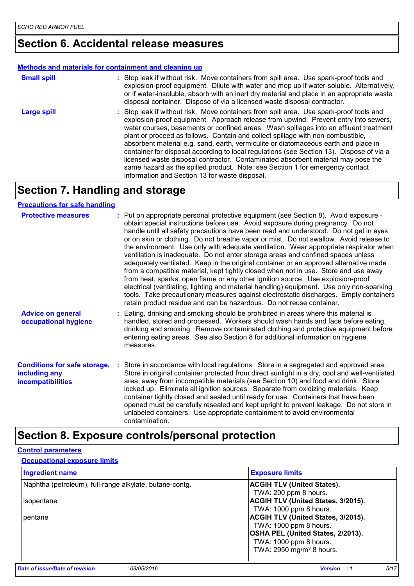### **Section 6. Accidental release measures**

#### **Methods and materials for containment and cleaning up**

| <b>Small spill</b> | : Stop leak if without risk. Move containers from spill area. Use spark-proof tools and<br>explosion-proof equipment. Dilute with water and mop up if water-soluble. Alternatively,<br>or if water-insoluble, absorb with an inert dry material and place in an appropriate waste<br>disposal container. Dispose of via a licensed waste disposal contractor.                                                                                                                                                                                                                                                                                                                                                                                                        |
|--------------------|----------------------------------------------------------------------------------------------------------------------------------------------------------------------------------------------------------------------------------------------------------------------------------------------------------------------------------------------------------------------------------------------------------------------------------------------------------------------------------------------------------------------------------------------------------------------------------------------------------------------------------------------------------------------------------------------------------------------------------------------------------------------|
| <b>Large spill</b> | : Stop leak if without risk. Move containers from spill area. Use spark-proof tools and<br>explosion-proof equipment. Approach release from upwind. Prevent entry into sewers,<br>water courses, basements or confined areas. Wash spillages into an effluent treatment<br>plant or proceed as follows. Contain and collect spillage with non-combustible,<br>absorbent material e.g. sand, earth, vermiculite or diatomaceous earth and place in<br>container for disposal according to local regulations (see Section 13). Dispose of via a<br>licensed waste disposal contractor. Contaminated absorbent material may pose the<br>same hazard as the spilled product. Note: see Section 1 for emergency contact<br>information and Section 13 for waste disposal. |

### **Section 7. Handling and storage**

#### **Precautions for safe handling**

| <b>Protective measures</b>                                                       | : Put on appropriate personal protective equipment (see Section 8). Avoid exposure -<br>obtain special instructions before use. Avoid exposure during pregnancy. Do not<br>handle until all safety precautions have been read and understood. Do not get in eyes<br>or on skin or clothing. Do not breathe vapor or mist. Do not swallow. Avoid release to<br>the environment. Use only with adequate ventilation. Wear appropriate respirator when<br>ventilation is inadequate. Do not enter storage areas and confined spaces unless<br>adequately ventilated. Keep in the original container or an approved alternative made<br>from a compatible material, kept tightly closed when not in use. Store and use away<br>from heat, sparks, open flame or any other ignition source. Use explosion-proof<br>electrical (ventilating, lighting and material handling) equipment. Use only non-sparking<br>tools. Take precautionary measures against electrostatic discharges. Empty containers<br>retain product residue and can be hazardous. Do not reuse container. |
|----------------------------------------------------------------------------------|--------------------------------------------------------------------------------------------------------------------------------------------------------------------------------------------------------------------------------------------------------------------------------------------------------------------------------------------------------------------------------------------------------------------------------------------------------------------------------------------------------------------------------------------------------------------------------------------------------------------------------------------------------------------------------------------------------------------------------------------------------------------------------------------------------------------------------------------------------------------------------------------------------------------------------------------------------------------------------------------------------------------------------------------------------------------------|
| <b>Advice on general</b><br>occupational hygiene                                 | : Eating, drinking and smoking should be prohibited in areas where this material is<br>handled, stored and processed. Workers should wash hands and face before eating,<br>drinking and smoking. Remove contaminated clothing and protective equipment before<br>entering eating areas. See also Section 8 for additional information on hygiene<br>measures.                                                                                                                                                                                                                                                                                                                                                                                                                                                                                                                                                                                                                                                                                                            |
| <b>Conditions for safe storage,</b><br>including any<br><b>incompatibilities</b> | : Store in accordance with local regulations. Store in a segregated and approved area.<br>Store in original container protected from direct sunlight in a dry, cool and well-ventilated<br>area, away from incompatible materials (see Section 10) and food and drink. Store<br>locked up. Eliminate all ignition sources. Separate from oxidizing materials. Keep<br>container tightly closed and sealed until ready for use. Containers that have been<br>opened must be carefully resealed and kept upright to prevent leakage. Do not store in<br>unlabeled containers. Use appropriate containment to avoid environmental<br>contamination.                                                                                                                                                                                                                                                                                                                                                                                                                         |

### **Section 8. Exposure controls/personal protection**

#### **Control parameters**

#### **Occupational exposure limits**

| <b>Ingredient name</b>                                  | <b>Exposure limits</b>                    |
|---------------------------------------------------------|-------------------------------------------|
| Naphtha (petroleum), full-range alkylate, butane-contg. | <b>ACGIH TLV (United States).</b>         |
|                                                         | TWA: 200 ppm 8 hours.                     |
| isopentane                                              | <b>ACGIH TLV (United States, 3/2015).</b> |
|                                                         | TWA: 1000 ppm 8 hours.                    |
| pentane                                                 | <b>ACGIH TLV (United States, 3/2015).</b> |
|                                                         | TWA: 1000 ppm 8 hours.                    |
|                                                         | OSHA PEL (United States, 2/2013).         |
|                                                         | TWA: 1000 ppm 8 hours.                    |
|                                                         | TWA: 2950 mg/m <sup>3</sup> 8 hours.      |
|                                                         |                                           |
|                                                         |                                           |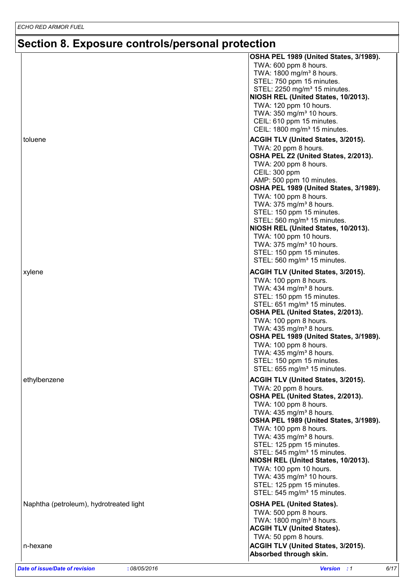# **Section 8. Exposure controls/personal protection**

|                                                | OSHA PEL 1989 (United States, 3/1989).                          |
|------------------------------------------------|-----------------------------------------------------------------|
|                                                | TWA: 600 ppm 8 hours.<br>TWA: 1800 mg/m <sup>3</sup> 8 hours.   |
|                                                | STEL: 750 ppm 15 minutes.                                       |
|                                                | STEL: 2250 mg/m <sup>3</sup> 15 minutes.                        |
|                                                | NIOSH REL (United States, 10/2013).                             |
|                                                | TWA: 120 ppm 10 hours.                                          |
|                                                | TWA: 350 mg/m <sup>3</sup> 10 hours.                            |
|                                                | CEIL: 610 ppm 15 minutes.                                       |
|                                                | CEIL: 1800 mg/m <sup>3</sup> 15 minutes.                        |
| toluene                                        | <b>ACGIH TLV (United States, 3/2015).</b>                       |
|                                                | TWA: 20 ppm 8 hours.                                            |
|                                                | OSHA PEL Z2 (United States, 2/2013).                            |
|                                                | TWA: 200 ppm 8 hours.                                           |
|                                                | CEIL: 300 ppm                                                   |
|                                                | AMP: 500 ppm 10 minutes.                                        |
|                                                | OSHA PEL 1989 (United States, 3/1989).                          |
|                                                | TWA: 100 ppm 8 hours.                                           |
|                                                | TWA: $375 \text{ mg/m}^3$ 8 hours.<br>STEL: 150 ppm 15 minutes. |
|                                                | STEL: 560 mg/m <sup>3</sup> 15 minutes.                         |
|                                                | NIOSH REL (United States, 10/2013).                             |
|                                                | TWA: 100 ppm 10 hours.                                          |
|                                                | TWA: 375 mg/m <sup>3</sup> 10 hours.                            |
|                                                | STEL: 150 ppm 15 minutes.                                       |
|                                                | STEL: 560 mg/m <sup>3</sup> 15 minutes.                         |
| xylene                                         | ACGIH TLV (United States, 3/2015).                              |
|                                                | TWA: 100 ppm 8 hours.                                           |
|                                                | TWA: 434 mg/m <sup>3</sup> 8 hours.                             |
|                                                | STEL: 150 ppm 15 minutes.                                       |
|                                                | STEL: 651 mg/m <sup>3</sup> 15 minutes.                         |
|                                                | OSHA PEL (United States, 2/2013).                               |
|                                                | TWA: 100 ppm 8 hours.                                           |
|                                                | TWA: $435 \text{ mg/m}^3$ 8 hours.                              |
|                                                | OSHA PEL 1989 (United States, 3/1989).                          |
|                                                | TWA: 100 ppm 8 hours.                                           |
|                                                | TWA: $435 \text{ mg/m}^3$ 8 hours.<br>STEL: 150 ppm 15 minutes. |
|                                                | STEL: 655 mg/m <sup>3</sup> 15 minutes.                         |
|                                                |                                                                 |
| ethylbenzene                                   | ACGIH TLV (United States, 3/2015).                              |
|                                                | TWA: 20 ppm 8 hours.                                            |
|                                                | OSHA PEL (United States, 2/2013).<br>TWA: 100 ppm 8 hours.      |
|                                                | TWA: 435 mg/m <sup>3</sup> 8 hours.                             |
|                                                | OSHA PEL 1989 (United States, 3/1989).                          |
|                                                | TWA: 100 ppm 8 hours.                                           |
|                                                | TWA: 435 mg/m <sup>3</sup> 8 hours.                             |
|                                                | STEL: 125 ppm 15 minutes.                                       |
|                                                | STEL: 545 mg/m <sup>3</sup> 15 minutes.                         |
|                                                | NIOSH REL (United States, 10/2013).                             |
|                                                | TWA: 100 ppm 10 hours.                                          |
|                                                | TWA: 435 mg/m <sup>3</sup> 10 hours.                            |
|                                                | STEL: 125 ppm 15 minutes.                                       |
|                                                | STEL: 545 mg/m <sup>3</sup> 15 minutes.                         |
| Naphtha (petroleum), hydrotreated light        | <b>OSHA PEL (United States).</b>                                |
|                                                | TWA: 500 ppm 8 hours.                                           |
|                                                | TWA: 1800 mg/m <sup>3</sup> 8 hours.                            |
|                                                | <b>ACGIH TLV (United States).</b>                               |
|                                                | TWA: 50 ppm 8 hours.                                            |
| n-hexane                                       | ACGIH TLV (United States, 3/2015).                              |
|                                                | Absorbed through skin.                                          |
| Date of issue/Date of revision<br>: 08/05/2016 | 6/1<br><b>Version</b> : 1                                       |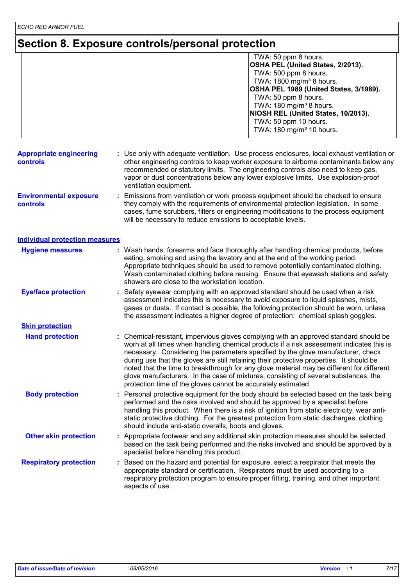## **Section 8. Exposure controls/personal protection**

|                                            | TWA: 50 ppm 8 hours.<br>OSHA PEL (United States, 2/2013).<br>TWA: 500 ppm 8 hours.<br>TWA: 1800 mg/m <sup>3</sup> 8 hours.<br>OSHA PEL 1989 (United States, 3/1989).<br>TWA: 50 ppm 8 hours.<br>TWA: 180 mg/m <sup>3</sup> 8 hours.<br>NIOSH REL (United States, 10/2013).<br>TWA: 50 ppm 10 hours.<br>TWA: 180 mg/m <sup>3</sup> 10 hours.                                                                                                                                                                                                                                                                            |
|--------------------------------------------|------------------------------------------------------------------------------------------------------------------------------------------------------------------------------------------------------------------------------------------------------------------------------------------------------------------------------------------------------------------------------------------------------------------------------------------------------------------------------------------------------------------------------------------------------------------------------------------------------------------------|
| <b>Appropriate engineering</b><br>controls | : Use only with adequate ventilation. Use process enclosures, local exhaust ventilation or<br>other engineering controls to keep worker exposure to airborne contaminants below any<br>recommended or statutory limits. The engineering controls also need to keep gas,<br>vapor or dust concentrations below any lower explosive limits. Use explosion-proof<br>ventilation equipment.                                                                                                                                                                                                                                |
| <b>Environmental exposure</b><br>controls  | : Emissions from ventilation or work process equipment should be checked to ensure<br>they comply with the requirements of environmental protection legislation. In some<br>cases, fume scrubbers, filters or engineering modifications to the process equipment<br>will be necessary to reduce emissions to acceptable levels.                                                                                                                                                                                                                                                                                        |
| <b>Individual protection measures</b>      |                                                                                                                                                                                                                                                                                                                                                                                                                                                                                                                                                                                                                        |
| <b>Hygiene measures</b>                    | : Wash hands, forearms and face thoroughly after handling chemical products, before<br>eating, smoking and using the lavatory and at the end of the working period.<br>Appropriate techniques should be used to remove potentially contaminated clothing.<br>Wash contaminated clothing before reusing. Ensure that eyewash stations and safety<br>showers are close to the workstation location.                                                                                                                                                                                                                      |
| <b>Eye/face protection</b>                 | : Safety eyewear complying with an approved standard should be used when a risk<br>assessment indicates this is necessary to avoid exposure to liquid splashes, mists,<br>gases or dusts. If contact is possible, the following protection should be worn, unless<br>the assessment indicates a higher degree of protection: chemical splash goggles.                                                                                                                                                                                                                                                                  |
| <b>Skin protection</b>                     |                                                                                                                                                                                                                                                                                                                                                                                                                                                                                                                                                                                                                        |
| <b>Hand protection</b>                     | : Chemical-resistant, impervious gloves complying with an approved standard should be<br>worn at all times when handling chemical products if a risk assessment indicates this is<br>necessary. Considering the parameters specified by the glove manufacturer, check<br>during use that the gloves are still retaining their protective properties. It should be<br>noted that the time to breakthrough for any glove material may be different for different<br>glove manufacturers. In the case of mixtures, consisting of several substances, the<br>protection time of the gloves cannot be accurately estimated. |
| <b>Body protection</b>                     | : Personal protective equipment for the body should be selected based on the task being<br>performed and the risks involved and should be approved by a specialist before<br>handling this product. When there is a risk of ignition from static electricity, wear anti-<br>static protective clothing. For the greatest protection from static discharges, clothing<br>should include anti-static overalls, boots and gloves.                                                                                                                                                                                         |
| <b>Other skin protection</b>               | : Appropriate footwear and any additional skin protection measures should be selected<br>based on the task being performed and the risks involved and should be approved by a<br>specialist before handling this product.                                                                                                                                                                                                                                                                                                                                                                                              |
| <b>Respiratory protection</b>              | : Based on the hazard and potential for exposure, select a respirator that meets the<br>appropriate standard or certification. Respirators must be used according to a<br>respiratory protection program to ensure proper fitting, training, and other important<br>aspects of use.                                                                                                                                                                                                                                                                                                                                    |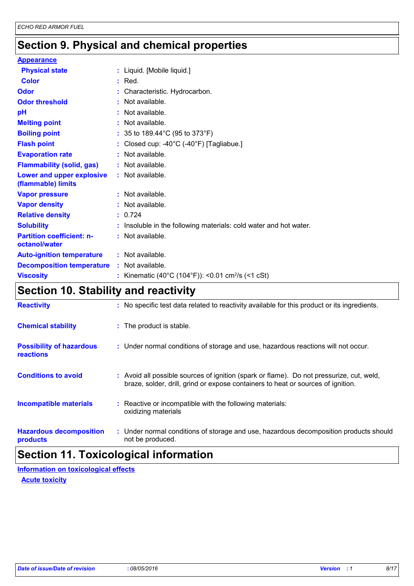### **Section 9. Physical and chemical properties**

| <b>Appearance</b>                                 |                                                                   |
|---------------------------------------------------|-------------------------------------------------------------------|
| <b>Physical state</b>                             | : Liquid. [Mobile liquid.]                                        |
| <b>Color</b>                                      | $:$ Red.                                                          |
| Odor                                              | : Characteristic. Hydrocarbon.                                    |
| <b>Odor threshold</b>                             | : Not available.                                                  |
| pH                                                | : Not available.                                                  |
| <b>Melting point</b>                              | : Not available.                                                  |
| <b>Boiling point</b>                              | : 35 to 189.44 °C (95 to 373 °F)                                  |
| <b>Flash point</b>                                | : Closed cup: $-40^{\circ}$ C ( $-40^{\circ}$ F) [Tagliabue.]     |
| <b>Evaporation rate</b>                           | : Not available.                                                  |
| <b>Flammability (solid, gas)</b>                  | : Not available.                                                  |
| Lower and upper explosive<br>(flammable) limits   | : Not available.                                                  |
| <b>Vapor pressure</b>                             | : Not available.                                                  |
| <b>Vapor density</b>                              | : Not available.                                                  |
| <b>Relative density</b>                           | : 0.724                                                           |
| <b>Solubility</b>                                 | : Insoluble in the following materials: cold water and hot water. |
| <b>Partition coefficient: n-</b><br>octanol/water | : Not available.                                                  |
| <b>Auto-ignition temperature</b>                  | : Not available.                                                  |
| <b>Decomposition temperature</b>                  | : Not available.                                                  |
| <b>Viscosity</b>                                  | : Kinematic (40°C (104°F)): <0.01 cm <sup>2</sup> /s (<1 cSt)     |

### **Section 10. Stability and reactivity**

| <b>Reactivity</b>                            | : No specific test data related to reactivity available for this product or its ingredients.                                                                                 |
|----------------------------------------------|------------------------------------------------------------------------------------------------------------------------------------------------------------------------------|
| <b>Chemical stability</b>                    | : The product is stable.                                                                                                                                                     |
| <b>Possibility of hazardous</b><br>reactions | : Under normal conditions of storage and use, hazardous reactions will not occur.                                                                                            |
| <b>Conditions to avoid</b>                   | : Avoid all possible sources of ignition (spark or flame). Do not pressurize, cut, weld,<br>braze, solder, drill, grind or expose containers to heat or sources of ignition. |
| <b>Incompatible materials</b>                | : Reactive or incompatible with the following materials:<br>oxidizing materials                                                                                              |
| <b>Hazardous decomposition</b><br>products   | : Under normal conditions of storage and use, hazardous decomposition products should<br>not be produced.                                                                    |

### **Section 11. Toxicological information**

**Information on toxicological effects**

**Acute toxicity**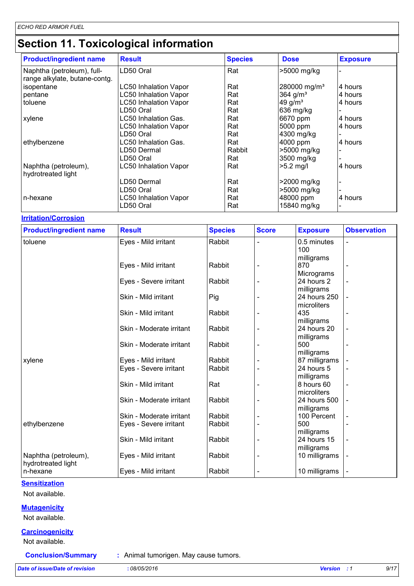| <b>Product/ingredient name</b> | <b>Result</b>                | <b>Species</b> | <b>Dose</b>              | <b>Exposure</b> |
|--------------------------------|------------------------------|----------------|--------------------------|-----------------|
| Naphtha (petroleum), full-     | LD50 Oral                    | Rat            | >5000 mg/kg              |                 |
| range alkylate, butane-contg.  |                              |                |                          |                 |
| isopentane                     | <b>LC50 Inhalation Vapor</b> | Rat            | 280000 mg/m <sup>3</sup> | 4 hours         |
| pentane                        | <b>LC50 Inhalation Vapor</b> | Rat            | 364 g/m <sup>3</sup>     | 4 hours         |
| toluene                        | <b>LC50 Inhalation Vapor</b> | Rat            | 49 g/ $m3$               | 4 hours         |
|                                | LD50 Oral                    | Rat            | 636 mg/kg                |                 |
| xylene                         | LC50 Inhalation Gas.         | Rat            | 6670 ppm                 | 4 hours         |
|                                | <b>LC50 Inhalation Vapor</b> | Rat            | 5000 ppm                 | 4 hours         |
|                                | LD50 Oral                    | Rat            | 4300 mg/kg               |                 |
| ethylbenzene                   | LC50 Inhalation Gas.         | Rat            | 4000 ppm                 | 4 hours         |
|                                | LD50 Dermal                  | Rabbit         | >5000 mg/kg              |                 |
|                                | LD50 Oral                    | Rat            | 3500 mg/kg               |                 |
| Naphtha (petroleum),           | <b>LC50 Inhalation Vapor</b> | Rat            | $>5.2$ mg/l              | 4 hours         |
| hydrotreated light             |                              |                |                          |                 |
|                                | LD50 Dermal                  | Rat            | >2000 mg/kg              |                 |
|                                | LD50 Oral                    | Rat            | >5000 mg/kg              |                 |
| n-hexane                       | <b>LC50 Inhalation Vapor</b> | Rat            | 48000 ppm                | 4 hours         |
|                                | LD50 Oral                    | Rat            | 15840 mg/kg              |                 |

#### **Irritation/Corrosion**

| <b>Product/ingredient name</b>             | <b>Result</b>            | <b>Species</b> | <b>Score</b> | <b>Exposure</b> | <b>Observation</b>       |
|--------------------------------------------|--------------------------|----------------|--------------|-----------------|--------------------------|
| toluene                                    | Eyes - Mild irritant     | Rabbit         |              | 0.5 minutes     | $\blacksquare$           |
|                                            |                          |                |              | 100             |                          |
|                                            |                          |                |              | milligrams      |                          |
|                                            | Eyes - Mild irritant     | Rabbit         |              | 870             | $\blacksquare$           |
|                                            |                          |                |              | Micrograms      |                          |
|                                            | Eyes - Severe irritant   | Rabbit         |              | 24 hours 2      |                          |
|                                            |                          |                |              | milligrams      |                          |
|                                            | Skin - Mild irritant     | Pig            |              | 24 hours 250    |                          |
|                                            |                          |                |              | microliters     |                          |
|                                            | Skin - Mild irritant     | Rabbit         |              | 435             |                          |
|                                            |                          |                |              | milligrams      |                          |
|                                            | Skin - Moderate irritant | Rabbit         |              | 24 hours 20     | $\overline{\phantom{a}}$ |
|                                            |                          |                |              | milligrams      |                          |
|                                            | Skin - Moderate irritant | Rabbit         |              | 500             |                          |
|                                            |                          |                |              | milligrams      |                          |
| xylene                                     | Eyes - Mild irritant     | Rabbit         |              | 87 milligrams   |                          |
|                                            | Eyes - Severe irritant   | Rabbit         |              | 24 hours 5      |                          |
|                                            |                          |                |              | milligrams      |                          |
|                                            | Skin - Mild irritant     | Rat            |              | 8 hours 60      | L,                       |
|                                            |                          |                |              | microliters     |                          |
|                                            | Skin - Moderate irritant | Rabbit         |              | 24 hours 500    | $\overline{\phantom{a}}$ |
|                                            |                          |                |              | milligrams      |                          |
|                                            | Skin - Moderate irritant | Rabbit         |              | 100 Percent     |                          |
| ethylbenzene                               | Eyes - Severe irritant   | Rabbit         |              | 500             |                          |
|                                            |                          |                |              | milligrams      |                          |
|                                            | Skin - Mild irritant     | Rabbit         |              | 24 hours 15     |                          |
|                                            |                          |                |              | milligrams      |                          |
| Naphtha (petroleum),<br>hydrotreated light | Eyes - Mild irritant     | Rabbit         |              | 10 milligrams   |                          |
| n-hexane                                   | Eyes - Mild irritant     | Rabbit         |              | 10 milligrams   |                          |

#### **Sensitization**

Not available.

#### **Mutagenicity**

Not available.

#### **Carcinogenicity**

Not available.

**Conclusion/Summary :** Animal tumorigen. May cause tumors.

*Date of issue/Date of revision* **:** *08/05/2016 Version : 1 9/17*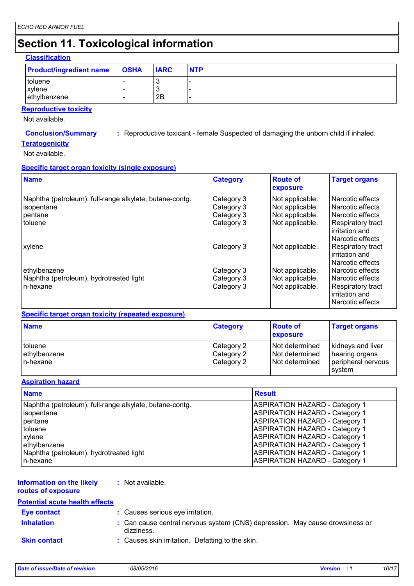#### **Classification**

| <b>Product/ingredient name</b> | <b>OSHA</b> | <b>IARC</b> | <b>NTP</b> |
|--------------------------------|-------------|-------------|------------|
| toluene                        |             | - 1         |            |
| xylene                         |             | Г.<br>-0    |            |
| ethylbenzene                   |             | 2B          |            |

#### **Reproductive toxicity**

Not available.

#### **Conclusion/Summary :** Reproductive toxicant - female Suspected of damaging the unborn child if inhaled.

**Teratogenicity**

Not available.

#### **Specific target organ toxicity (single exposure)**

| <b>Name</b>                                                                      | <b>Category</b>                        | <b>Route of</b><br>exposure                           | <b>Target organs</b>                                           |
|----------------------------------------------------------------------------------|----------------------------------------|-------------------------------------------------------|----------------------------------------------------------------|
| Naphtha (petroleum), full-range alkylate, butane-contg.<br>isopentane<br>pentane | Category 3<br>Category 3<br>Category 3 | Not applicable.<br>Not applicable.<br>Not applicable. | Narcotic effects<br>Narcotic effects<br>l Narcotic effects     |
| toluene                                                                          | Category 3                             | Not applicable.                                       | <b>Respiratory tract</b><br>irritation and<br>Narcotic effects |
| xylene                                                                           | Category 3                             | Not applicable.                                       | Respiratory tract<br>irritation and<br>Narcotic effects        |
| ethylbenzene                                                                     | Category 3                             | Not applicable.                                       | l Narcotic effects                                             |
| Naphtha (petroleum), hydrotreated light                                          | Category 3                             | Not applicable.                                       | Narcotic effects                                               |
| n-hexane                                                                         | Category 3                             | Not applicable.                                       | Respiratory tract<br>irritation and<br>Narcotic effects        |

#### **Specific target organ toxicity (repeated exposure)**

| <b>Name</b>                          | <b>Category</b>                        | <b>Route of</b><br><b>exposure</b>                   | <b>Target organs</b>                                                |
|--------------------------------------|----------------------------------------|------------------------------------------------------|---------------------------------------------------------------------|
| toluene<br>ethylbenzene<br>In-hexane | Category 2<br>Category 2<br>Category 2 | Not determined<br>Not determined<br>l Not determined | kidneys and liver<br>hearing organs<br>peripheral nervous<br>system |

#### **Aspiration hazard**

| <b>Name</b>                                             | <b>Result</b>                                                                  |
|---------------------------------------------------------|--------------------------------------------------------------------------------|
| Naphtha (petroleum), full-range alkylate, butane-contg. | <b>ASPIRATION HAZARD - Category 1</b>                                          |
| sopentane                                               | <b>ASPIRATION HAZARD - Category 1</b>                                          |
| pentane<br>l toluene                                    | <b>ASPIRATION HAZARD - Category 1</b><br><b>ASPIRATION HAZARD - Category 1</b> |
| xylene                                                  | <b>ASPIRATION HAZARD - Category 1</b>                                          |
| ethylbenzene                                            | <b>ASPIRATION HAZARD - Category 1</b>                                          |
| Naphtha (petroleum), hydrotreated light<br>In-hexane    | <b>ASPIRATION HAZARD - Category 1</b><br><b>ASPIRATION HAZARD - Category 1</b> |

#### **Information on the likely :** Not available.

#### **routes of exposure**

### **Potential acute health effects**

| <b>Eye contact</b>  | : Causes serious eye irritation.                                                           |
|---------------------|--------------------------------------------------------------------------------------------|
| <b>Inhalation</b>   | : Can cause central nervous system (CNS) depression. May cause drowsiness or<br>dizziness. |
| <b>Skin contact</b> | : Causes skin irritation. Defatting to the skin.                                           |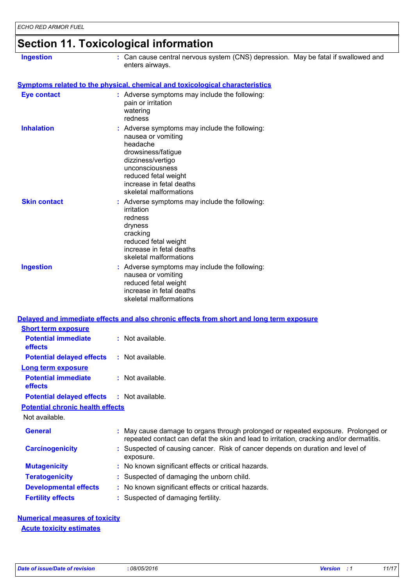| <b>Ingestion</b>                                                    | : Can cause central nervous system (CNS) depression. May be fatal if swallowed and<br>enters airways.                                                                                                                       |
|---------------------------------------------------------------------|-----------------------------------------------------------------------------------------------------------------------------------------------------------------------------------------------------------------------------|
|                                                                     | <b>Symptoms related to the physical, chemical and toxicological characteristics</b>                                                                                                                                         |
| <b>Eye contact</b>                                                  | : Adverse symptoms may include the following:<br>pain or irritation<br>watering<br>redness                                                                                                                                  |
| <b>Inhalation</b>                                                   | : Adverse symptoms may include the following:<br>nausea or vomiting<br>headache<br>drowsiness/fatigue<br>dizziness/vertigo<br>unconsciousness<br>reduced fetal weight<br>increase in fetal deaths<br>skeletal malformations |
| <b>Skin contact</b>                                                 | : Adverse symptoms may include the following:<br>irritation<br>redness<br>dryness<br>cracking<br>reduced fetal weight<br>increase in fetal deaths<br>skeletal malformations                                                 |
| <b>Ingestion</b>                                                    | : Adverse symptoms may include the following:<br>nausea or vomiting<br>reduced fetal weight<br>increase in fetal deaths<br>skeletal malformations                                                                           |
|                                                                     | Delayed and immediate effects and also chronic effects from short and long term exposure                                                                                                                                    |
| <b>Short term exposure</b><br><b>Potential immediate</b><br>effects | : Not available.                                                                                                                                                                                                            |
| <b>Potential delayed effects</b>                                    | : Not available.                                                                                                                                                                                                            |
| Long term exposure<br><b>Potential immediate</b><br>effects         | : Not available.                                                                                                                                                                                                            |
| <b>Potential delayed effects</b>                                    | : Not available.                                                                                                                                                                                                            |
| <b>Potential chronic health effects</b><br>Not available.           |                                                                                                                                                                                                                             |
| <b>General</b>                                                      | : May cause damage to organs through prolonged or repeated exposure. Prolonged or<br>repeated contact can defat the skin and lead to irritation, cracking and/or dermatitis.                                                |
| <b>Carcinogenicity</b>                                              | : Suspected of causing cancer. Risk of cancer depends on duration and level of<br>exposure.                                                                                                                                 |
| <b>Mutagenicity</b>                                                 | : No known significant effects or critical hazards.                                                                                                                                                                         |
| <b>Teratogenicity</b>                                               | : Suspected of damaging the unborn child.                                                                                                                                                                                   |
| <b>Developmental effects</b>                                        | No known significant effects or critical hazards.                                                                                                                                                                           |
| <b>Fertility effects</b>                                            | Suspected of damaging fertility.                                                                                                                                                                                            |

**Numerical measures of toxicity Acute toxicity estimates**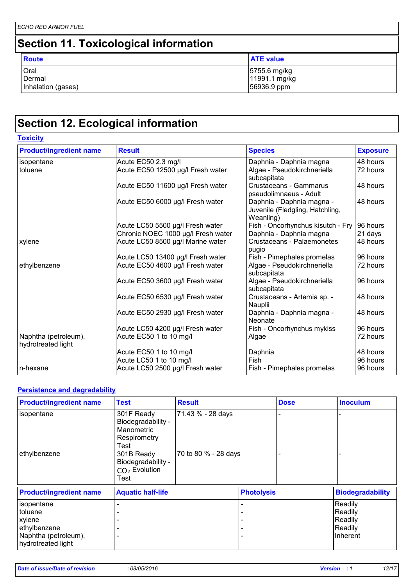| <b>Route</b>       | <b>ATE</b> value |
|--------------------|------------------|
| Oral               | 5755.6 mg/kg     |
| Dermal             | 11991.1 mg/kg    |
| Inhalation (gases) | 56936.9 ppm      |

### **Section 12. Ecological information**

| <b>Product/ingredient name</b>             | <b>Result</b>                      | <b>Species</b>                                                            | <b>Exposure</b> |
|--------------------------------------------|------------------------------------|---------------------------------------------------------------------------|-----------------|
| isopentane                                 | Acute EC50 2.3 mg/l                | Daphnia - Daphnia magna                                                   | 48 hours        |
| toluene                                    | Acute EC50 12500 µg/l Fresh water  | Algae - Pseudokirchneriella<br>subcapitata                                | 72 hours        |
|                                            | Acute EC50 11600 µg/l Fresh water  | Crustaceans - Gammarus<br>pseudolimnaeus - Adult                          | 48 hours        |
|                                            | Acute EC50 6000 µg/l Fresh water   | Daphnia - Daphnia magna -<br>Juvenile (Fledgling, Hatchling,<br>Weanling) | 48 hours        |
|                                            | Acute LC50 5500 µg/l Fresh water   | Fish - Oncorhynchus kisutch - Fry                                         | 96 hours        |
|                                            | Chronic NOEC 1000 µg/l Fresh water | Daphnia - Daphnia magna                                                   | 21 days         |
| xylene                                     | Acute LC50 8500 µg/l Marine water  | <b>Crustaceans - Palaemonetes</b><br>pugio                                | 48 hours        |
|                                            | Acute LC50 13400 µg/l Fresh water  | Fish - Pimephales promelas                                                | 96 hours        |
| ethylbenzene                               | Acute EC50 4600 µg/l Fresh water   | Algae - Pseudokirchneriella<br>subcapitata                                | 72 hours        |
|                                            | Acute EC50 3600 µg/l Fresh water   | Algae - Pseudokirchneriella<br>subcapitata                                | 96 hours        |
|                                            | Acute EC50 6530 µg/l Fresh water   | Crustaceans - Artemia sp. -<br>Nauplii                                    | 48 hours        |
|                                            | Acute EC50 2930 µg/l Fresh water   | Daphnia - Daphnia magna -<br>Neonate                                      | 48 hours        |
|                                            | Acute LC50 4200 µg/l Fresh water   | Fish - Oncorhynchus mykiss                                                | 96 hours        |
| Naphtha (petroleum),<br>hydrotreated light | Acute EC50 1 to 10 mg/l            | Algae                                                                     | 72 hours        |
|                                            | Acute EC50 1 to 10 mg/l            | Daphnia                                                                   | 48 hours        |
|                                            | Acute LC50 1 to 10 mg/l            | Fish                                                                      | 96 hours        |
| n-hexane                                   | Acute LC50 2500 µg/l Fresh water   | Fish - Pimephales promelas                                                | 96 hours        |
|                                            |                                    |                                                                           |                 |

#### **Persistence and degradability**

| <b>Product/ingredient name</b>                                                                | <b>Test</b>                                                                                                                                            | <b>Result</b>                             |                   | <b>Dose</b> | <b>Inoculum</b>                                      |
|-----------------------------------------------------------------------------------------------|--------------------------------------------------------------------------------------------------------------------------------------------------------|-------------------------------------------|-------------------|-------------|------------------------------------------------------|
| isopentane<br>ethylbenzene                                                                    | 301F Ready<br>Biodegradability -<br><b>Manometric</b><br>Respirometry<br>Test<br>301B Ready<br>Biodegradability -<br>CO <sub>2</sub> Evolution<br>Test | 71.43 % - 28 days<br>70 to 80 % - 28 days |                   |             |                                                      |
| <b>Product/ingredient name</b>                                                                | <b>Aquatic half-life</b>                                                                                                                               |                                           | <b>Photolysis</b> |             | <b>Biodegradability</b>                              |
| isopentane<br>toluene<br>xylene<br>ethylbenzene<br>Naphtha (petroleum),<br>hydrotreated light |                                                                                                                                                        |                                           |                   |             | Readily<br>Readily<br>Readily<br>Readily<br>Inherent |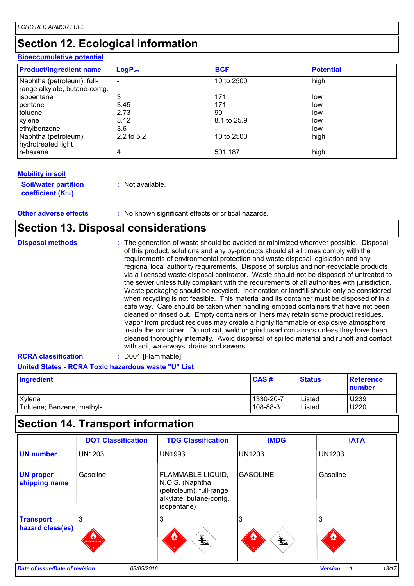#### **Bioaccumulative potential**

| <b>Product/ingredient name</b>                              | <b>LogPow</b> | <b>BCF</b>    | <b>Potential</b> |
|-------------------------------------------------------------|---------------|---------------|------------------|
| Naphtha (petroleum), full-<br>range alkylate, butane-contg. |               | 10 to 2500    | high             |
| isopentane                                                  |               | 171           | low              |
| pentane                                                     | 3.45          | 171           | low              |
| toluene                                                     | 2.73          | 90            | low              |
| xylene                                                      | 3.12          | l 8.1 to 25.9 | low              |
| ethylbenzene                                                | 3.6           |               | low              |
| Naphtha (petroleum),<br>hydrotreated light                  | 2.2 to $5.2$  | 10 to 2500    | high             |
| In-hexane                                                   | 4             | 501.187       | high             |

#### **Mobility in soil**

| <b>Soil/water partition</b> |  |
|-----------------------------|--|
| <b>coefficient (Koc)</b>    |  |

**:** Not available.

#### **Other adverse effects** : No known significant effects or critical hazards.

### **Section 13. Disposal considerations**

| <b>Disposal methods</b> | : The generation of waste should be avoided or minimized wherever possible. Disposal<br>of this product, solutions and any by-products should at all times comply with the<br>requirements of environmental protection and waste disposal legislation and any<br>regional local authority requirements. Dispose of surplus and non-recyclable products<br>via a licensed waste disposal contractor. Waste should not be disposed of untreated to<br>the sewer unless fully compliant with the requirements of all authorities with jurisdiction.<br>Waste packaging should be recycled. Incineration or landfill should only be considered<br>when recycling is not feasible. This material and its container must be disposed of in a<br>safe way. Care should be taken when handling emptied containers that have not been<br>cleaned or rinsed out. Empty containers or liners may retain some product residues.<br>Vapor from product residues may create a highly flammable or explosive atmosphere<br>inside the container. Do not cut, weld or grind used containers unless they have been<br>cleaned thoroughly internally. Avoid dispersal of spilled material and runoff and contact |
|-------------------------|------------------------------------------------------------------------------------------------------------------------------------------------------------------------------------------------------------------------------------------------------------------------------------------------------------------------------------------------------------------------------------------------------------------------------------------------------------------------------------------------------------------------------------------------------------------------------------------------------------------------------------------------------------------------------------------------------------------------------------------------------------------------------------------------------------------------------------------------------------------------------------------------------------------------------------------------------------------------------------------------------------------------------------------------------------------------------------------------------------------------------------------------------------------------------------------------|
|                         | with soil, waterways, drains and sewers.                                                                                                                                                                                                                                                                                                                                                                                                                                                                                                                                                                                                                                                                                                                                                                                                                                                                                                                                                                                                                                                                                                                                                       |

#### **RCRA classification :** D001 [Flammable]

#### **United States - RCRA Toxic hazardous waste "U" List**

| Ingredient                | CAS#      | <b>Status</b> | <b>Reference</b><br>number |
|---------------------------|-----------|---------------|----------------------------|
| Xylene                    | 1330-20-7 | Listed        | U239                       |
| Toluene; Benzene, methyl- | 108-88-3  | Listed        | U220                       |

### **Section 14. Transport information**

|                                       | <b>DOT Classification</b>   | <b>TDG Classification</b>                                                                                  | <b>IMDG</b>                  | <b>IATA</b>                   |
|---------------------------------------|-----------------------------|------------------------------------------------------------------------------------------------------------|------------------------------|-------------------------------|
| <b>UN number</b>                      | <b>UN1203</b>               | <b>UN1993</b>                                                                                              | <b>UN1203</b>                | <b>UN1203</b>                 |
| <b>UN proper</b><br>shipping name     | Gasoline                    | FLAMMABLE LIQUID,<br>N.O.S. (Naphtha<br>(petroleum), full-range<br>alkylate, butane-contg.,<br>isopentane) | <b>GASOLINE</b>              | Gasoline                      |
| <b>Transport</b><br>hazard class(es)  | 3<br><b>FLAWMABLE LIQUI</b> | 3<br>$\mathbf{\mathbf{\underline{\mathbf{\Psi}}}}$<br>$\bf v$                                              | 3<br>$\bigstar$<br><u>V)</u> | 3                             |
| <b>Date of issue/Date of revision</b> | :08/05/2016                 |                                                                                                            |                              | 13/17<br><b>Version</b><br>:1 |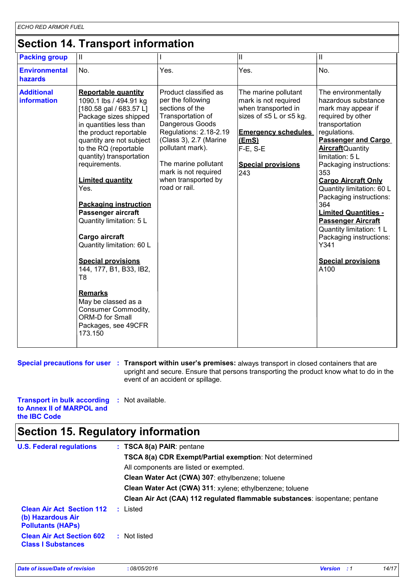### **Section 14. Transport information**

| <b>Packing group</b>             | $\mathbf{  }$                                                                                                                                                                                                                                                                                                                                                                                                                                                                                                                                                                                                                                    |                                                                                                                                                                                                                                                                       | $\mathbf{I}$                                                                                                                                                                             | $\ensuremath{\mathsf{II}}$                                                                                                                                                                                                                                                                                                                                                                                                                                                                          |
|----------------------------------|--------------------------------------------------------------------------------------------------------------------------------------------------------------------------------------------------------------------------------------------------------------------------------------------------------------------------------------------------------------------------------------------------------------------------------------------------------------------------------------------------------------------------------------------------------------------------------------------------------------------------------------------------|-----------------------------------------------------------------------------------------------------------------------------------------------------------------------------------------------------------------------------------------------------------------------|------------------------------------------------------------------------------------------------------------------------------------------------------------------------------------------|-----------------------------------------------------------------------------------------------------------------------------------------------------------------------------------------------------------------------------------------------------------------------------------------------------------------------------------------------------------------------------------------------------------------------------------------------------------------------------------------------------|
| <b>Environmental</b><br>hazards  | No.                                                                                                                                                                                                                                                                                                                                                                                                                                                                                                                                                                                                                                              | Yes.                                                                                                                                                                                                                                                                  | Yes.                                                                                                                                                                                     | No.                                                                                                                                                                                                                                                                                                                                                                                                                                                                                                 |
| <b>Additional</b><br>information | <b>Reportable quantity</b><br>1090.1 lbs / 494.91 kg<br>[180.58 gal / 683.57 L]<br>Package sizes shipped<br>in quantities less than<br>the product reportable<br>quantity are not subject<br>to the RQ (reportable<br>quantity) transportation<br>requirements.<br><b>Limited quantity</b><br>Yes.<br><b>Packaging instruction</b><br><b>Passenger aircraft</b><br>Quantity limitation: 5 L<br>Cargo aircraft<br>Quantity limitation: 60 L<br><b>Special provisions</b><br>144, 177, B1, B33, IB2,<br>T <sub>8</sub><br><b>Remarks</b><br>May be classed as a<br><b>Consumer Commodity,</b><br>ORM-D for Small<br>Packages, see 49CFR<br>173.150 | Product classified as<br>per the following<br>sections of the<br>Transportation of<br>Dangerous Goods<br>Regulations: 2.18-2.19<br>(Class 3), 2.7 (Marine<br>pollutant mark).<br>The marine pollutant<br>mark is not required<br>when transported by<br>road or rail. | The marine pollutant<br>mark is not required<br>when transported in<br>sizes of ≤5 L or ≤5 kg.<br><b>Emergency schedules</b><br>(EmS)<br>$F-E$ , S-E<br><b>Special provisions</b><br>243 | The environmentally<br>hazardous substance<br>mark may appear if<br>required by other<br>transportation<br>regulations.<br><b>Passenger and Cargo</b><br><b>Aircraft</b> Quantity<br>limitation: 5 L<br>Packaging instructions:<br>353<br><b>Cargo Aircraft Only</b><br>Quantity limitation: 60 L<br>Packaging instructions:<br>364<br><b>Limited Quantities -</b><br><b>Passenger Aircraft</b><br>Quantity limitation: 1 L<br>Packaging instructions:<br>Y341<br><b>Special provisions</b><br>A100 |

**Special precautions for user** : Transport within user's premises: always transport in closed containers that are upright and secure. Ensure that persons transporting the product know what to do in the event of an accident or spillage.

**Transport in bulk according to Annex II of MARPOL and the IBC Code :** Not available.

### **Section 15. Regulatory information**

| <b>U.S. Federal regulations</b>                                                   | $: TSCA 8(a) PAIR$ ; pentane                                                |
|-----------------------------------------------------------------------------------|-----------------------------------------------------------------------------|
|                                                                                   | <b>TSCA 8(a) CDR Exempt/Partial exemption: Not determined</b>               |
|                                                                                   | All components are listed or exempted.                                      |
|                                                                                   | Clean Water Act (CWA) 307: ethylbenzene; toluene                            |
|                                                                                   | Clean Water Act (CWA) 311: xylene; ethylbenzene; toluene                    |
|                                                                                   | Clean Air Act (CAA) 112 regulated flammable substances: isopentane; pentane |
| <b>Clean Air Act Section 112</b><br>(b) Hazardous Air<br><b>Pollutants (HAPS)</b> | : Listed                                                                    |
| <b>Clean Air Act Section 602</b><br><b>Class I Substances</b>                     | : Not listed                                                                |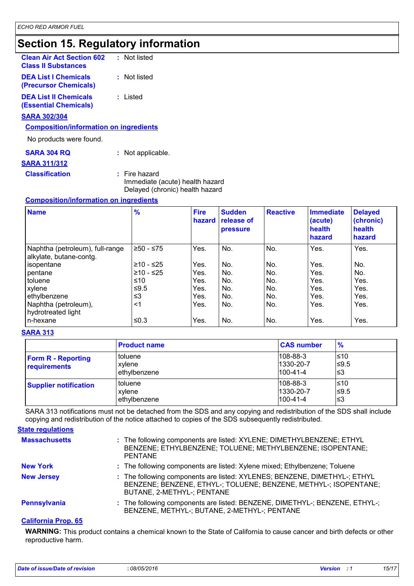### **Section 15. Regulatory information**

| <b>Clean Air Act Section 602</b><br><b>Class II Substances</b> | : Not listed |
|----------------------------------------------------------------|--------------|
| <b>DEA List I Chemicals</b><br>(Precursor Chemicals)           | : Not listed |
| <b>DEA List II Chemicals</b><br><b>(Essential Chemicals)</b>   | : Listed     |
| 8888 888884                                                    |              |

#### **SARA 302/304**

**Composition/information on ingredients**

No products were found.

| <b>SARA 304 RQ</b> | : Not applicable. |
|--------------------|-------------------|
|                    |                   |

**SARA 311/312**

**Classification :** Fire hazard

Immediate (acute) health hazard Delayed (chronic) health hazard

#### **Composition/information on ingredients**

| <b>Name</b>                                                | $\frac{9}{6}$ | <b>Fire</b><br>hazard | <b>Sudden</b><br>release of<br>pressure | <b>Reactive</b> | <b>Immediate</b><br>(acute)<br>health<br>hazard | <b>Delayed</b><br>(chronic)<br>health<br>hazard |
|------------------------------------------------------------|---------------|-----------------------|-----------------------------------------|-----------------|-------------------------------------------------|-------------------------------------------------|
| Naphtha (petroleum), full-range<br>alkylate, butane-contg. | ≥50 - ≤75     | Yes.                  | No.                                     | No.             | Yes.                                            | Yes.                                            |
| isopentane                                                 | 210 - ≤25     | Yes.                  | No.                                     | No.             | Yes.                                            | No.                                             |
| pentane                                                    | $≥10 - ≤25$   | Yes.                  | No.                                     | No.             | Yes.                                            | No.                                             |
| toluene                                                    | ≤10           | Yes.                  | No.                                     | No.             | Yes.                                            | Yes.                                            |
| xylene                                                     | $≤9.5$        | Yes.                  | No.                                     | No.             | Yes.                                            | Yes.                                            |
| ethylbenzene                                               | ≤3            | Yes.                  | No.                                     | No.             | Yes.                                            | Yes.                                            |
| Naphtha (petroleum),<br>hydrotreated light                 | $<$ 1         | Yes.                  | No.                                     | No.             | Yes.                                            | Yes.                                            |
| n-hexane                                                   | ≤0.3          | Yes.                  | No.                                     | No.             | Yes.                                            | Yes.                                            |

#### **SARA 313**

|                                           | <b>Product name</b>               | <b>CAS number</b>                               | $\frac{9}{6}$        |
|-------------------------------------------|-----------------------------------|-------------------------------------------------|----------------------|
| <b>Form R - Reporting</b><br>requirements | toluene<br>xylene<br>ethylbenzene | $108 - 88 - 3$<br>1330-20-7<br>$ 100 - 41 - 4 $ | l≤10<br>5.9≥∣<br>l≤3 |
| <b>Supplier notification</b>              | toluene<br>xvlene<br>ethylbenzene | $108 - 88 - 3$<br>1330-20-7<br>$100 - 41 - 4$   | ≤10<br>5.9≥∣<br>l≤3  |

SARA 313 notifications must not be detached from the SDS and any copying and redistribution of the SDS shall include copying and redistribution of the notice attached to copies of the SDS subsequently redistributed.

: The following components are listed: XYLENE; DIMETHYLBENZENE; ETHYL BENZENE; ETHYLBENZENE; TOLUENE; METHYLBENZENE; ISOPENTANE; PENTANE **Massachusetts : New York :** The following components are listed: Xylene mixed; Ethylbenzene; Toluene **New Jersey :** The following components are listed: XYLENES; BENZENE, DIMETHYL-; ETHYL BENZENE; BENZENE, ETHYL-; TOLUENE; BENZENE, METHYL-; ISOPENTANE; BUTANE, 2-METHYL-; PENTANE **Pennsylvania 19. In the following components are listed: BENZENE, DIMETHYL-; BENZENE, ETHYL-; <b>PENZENE**, ETHYL-; BENZENE, METHYL-; BUTANE, 2-METHYL-; PENTANE **State regulations**

#### **California Prop. 65**

**WARNING:** This product contains a chemical known to the State of California to cause cancer and birth defects or other reproductive harm.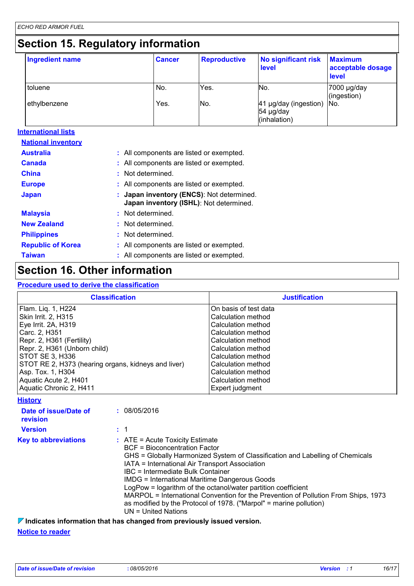### **Section 15. Regulatory information**

| Ingredient name | <b>Cancer</b> | <b>Reproductive</b> | <b>No significant risk</b><br>level                           | <b>Maximum</b><br>acceptable dosage<br><b>level</b> |
|-----------------|---------------|---------------------|---------------------------------------------------------------|-----------------------------------------------------|
| toluene         | No.           | Yes.                | No.                                                           | 7000 µg/day<br>(ingestion)                          |
| ethylbenzene    | Yes.          | No.                 | 41 µg/day (ingestion)   No.<br>$54 \mu g/day$<br>(inhalation) |                                                     |

#### **International lists**

| <b>National inventory</b> |                                                                                      |
|---------------------------|--------------------------------------------------------------------------------------|
| <b>Australia</b>          | : All components are listed or exempted.                                             |
| <b>Canada</b>             | : All components are listed or exempted.                                             |
| <b>China</b>              | : Not determined.                                                                    |
| <b>Europe</b>             | : All components are listed or exempted.                                             |
| <b>Japan</b>              | : Japan inventory (ENCS): Not determined.<br>Japan inventory (ISHL): Not determined. |
| <b>Malaysia</b>           | : Not determined.                                                                    |
| <b>New Zealand</b>        | : Not determined.                                                                    |
| <b>Philippines</b>        | : Not determined.                                                                    |
| <b>Republic of Korea</b>  | : All components are listed or exempted.                                             |
| <b>Taiwan</b>             | : All components are listed or exempted.                                             |

### **Section 16. Other information**

#### **Procedure used to derive the classification**

| <b>Classification</b>                               | <b>Justification</b>  |
|-----------------------------------------------------|-----------------------|
| Flam. Liq. 1, H224                                  | On basis of test data |
| Skin Irrit. 2, H315                                 | Calculation method    |
| Eye Irrit. 2A, H319                                 | Calculation method    |
| Carc. 2, H351                                       | Calculation method    |
| Repr. 2, H361 (Fertility)                           | Calculation method    |
| Repr. 2, H361 (Unborn child)                        | Calculation method    |
| STOT SE 3, H336                                     | Calculation method    |
| STOT RE 2, H373 (hearing organs, kidneys and liver) | Calculation method    |
| Asp. Tox. 1, H304                                   | Calculation method    |
| Aquatic Acute 2, H401                               | Calculation method    |
| Aquatic Chronic 2, H411                             | Expert judgment       |

#### **History**

| Date of issue/Date of<br>revision | : 08/05/2016                                                                                                                                                                                                                                                                                                                                                                                                                                                                                                                                           |
|-----------------------------------|--------------------------------------------------------------------------------------------------------------------------------------------------------------------------------------------------------------------------------------------------------------------------------------------------------------------------------------------------------------------------------------------------------------------------------------------------------------------------------------------------------------------------------------------------------|
| <b>Version</b>                    | $\pm$ 1                                                                                                                                                                                                                                                                                                                                                                                                                                                                                                                                                |
| <b>Key to abbreviations</b>       | $:$ ATE = Acute Toxicity Estimate<br>BCF = Bioconcentration Factor<br>GHS = Globally Harmonized System of Classification and Labelling of Chemicals<br>IATA = International Air Transport Association<br>IBC = Intermediate Bulk Container<br><b>IMDG = International Maritime Dangerous Goods</b><br>LogPow = logarithm of the octanol/water partition coefficient<br>MARPOL = International Convention for the Prevention of Pollution From Ships, 1973<br>as modified by the Protocol of 1978. ("Marpol" = marine pollution)<br>UN = United Nations |
|                                   | $\Box$ lealizates information that has above used from nucleonly isomal wareless.                                                                                                                                                                                                                                                                                                                                                                                                                                                                      |

**Indicates information that has changed from previously issued version.**

#### **Notice to reader**